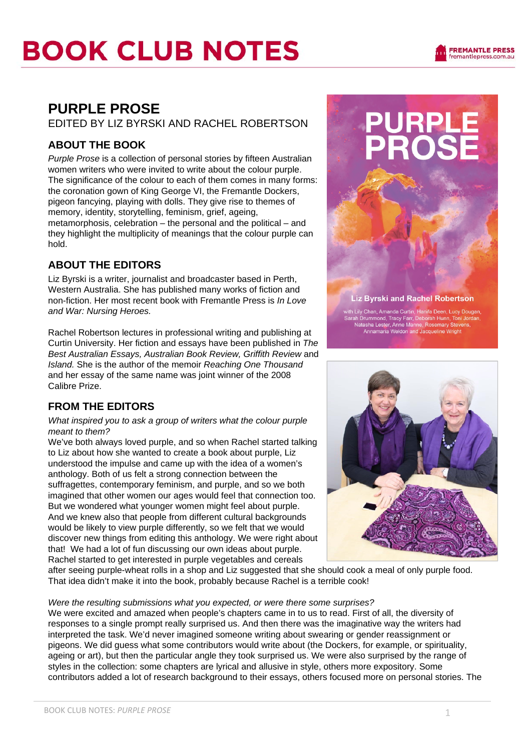

### **PURPLE PROSE**

EDITED BY LIZ BYRSKI AND RACHEL ROBERTSON

### **ABOUT THE BOOK**

*Purple Prose* is a collection of personal stories by fifteen Australian women writers who were invited to write about the colour purple. The significance of the colour to each of them comes in many forms: the coronation gown of King George VI, the Fremantle Dockers, pigeon fancying, playing with dolls. They give rise to themes of memory, identity, storytelling, feminism, grief, ageing, metamorphosis, celebration – the personal and the political – and they highlight the multiplicity of meanings that the colour purple can hold.

### **ABOUT THE EDITORS**

Liz Byrski is a writer, journalist and broadcaster based in Perth, Western Australia. She has published many works of fiction and non-fiction. Her most recent book with Fremantle Press is *In Love and War: Nursing Heroes.* 

Rachel Robertson lectures in professional writing and publishing at Curtin University. Her fiction and essays have been published in *The Best Australian Essays, Australian Book Review, Griffith Review* and *Island.* She is the author of the memoir *Reaching One Thousand*  and her essay of the same name was joint winner of the 2008 Calibre Prize.

### **FROM THE EDITORS**

*What inspired you to ask a group of writers what the colour purple meant to them?* 

We've both always loved purple, and so when Rachel started talking to Liz about how she wanted to create a book about purple, Liz understood the impulse and came up with the idea of a women's anthology. Both of us felt a strong connection between the suffragettes, contemporary feminism, and purple, and so we both imagined that other women our ages would feel that connection too. But we wondered what younger women might feel about purple. And we knew also that people from different cultural backgrounds would be likely to view purple differently, so we felt that we would discover new things from editing this anthology. We were right about that! We had a lot of fun discussing our own ideas about purple. Rachel started to get interested in purple vegetables and cereals



**Liz Byrski and Rachel Robertson** 

with Lily Chan, Amanda Curtin, Hanifa Deen, Lucy Dougan,<br>Sarah Drummond, Tracy Farr, Deborah Hunn, Toni Jordan,<br>Natasha Lester, Anne Manne, Rosemary Stevens,<br>Annamaria Weldon and Jacqueline Wright



after seeing purple-wheat rolls in a shop and Liz suggested that she should cook a meal of only purple food. That idea didn't make it into the book, probably because Rachel is a terrible cook!

#### *Were the resulting submissions what you expected, or were there some surprises?*

We were excited and amazed when people's chapters came in to us to read. First of all, the diversity of responses to a single prompt really surprised us. And then there was the imaginative way the writers had interpreted the task. We'd never imagined someone writing about swearing or gender reassignment or pigeons. We did guess what some contributors would write about (the Dockers, for example, or spirituality, ageing or art), but then the particular angle they took surprised us. We were also surprised by the range of styles in the collection: some chapters are lyrical and allusive in style, others more expository. Some contributors added a lot of research background to their essays, others focused more on personal stories. The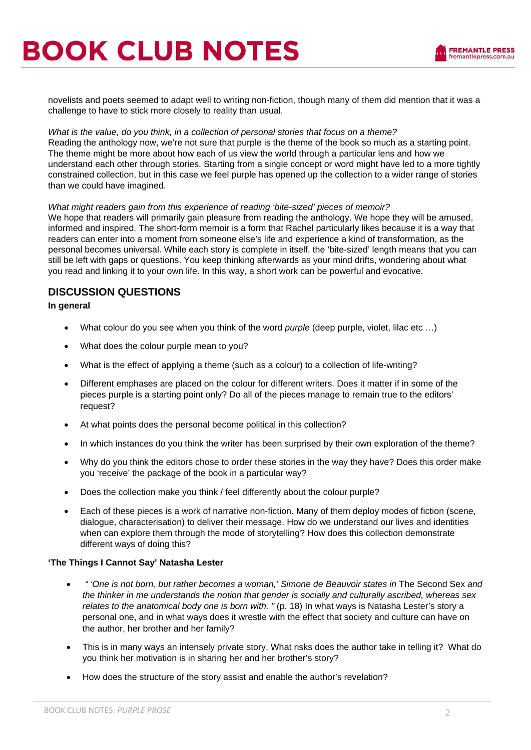

novelists and poets seemed to adapt well to writing non-fiction, though many of them did mention that it was a challenge to have to stick more closely to reality than usual.

#### *What is the value, do you think, in a collection of personal stories that focus on a theme?*

Reading the anthology now, we're not sure that purple is the theme of the book so much as a starting point. The theme might be more about how each of us view the world through a particular lens and how we understand each other through stories. Starting from a single concept or word might have led to a more tightly constrained collection, but in this case we feel purple has opened up the collection to a wider range of stories than we could have imagined.

#### *What might readers gain from this experience of reading 'bite-sized' pieces of memoir?*

We hope that readers will primarily gain pleasure from reading the anthology. We hope they will be amused, informed and inspired. The short-form memoir is a form that Rachel particularly likes because it is a way that readers can enter into a moment from someone else's life and experience a kind of transformation, as the personal becomes universal. While each story is complete in itself, the 'bite-sized' length means that you can still be left with gaps or questions. You keep thinking afterwards as your mind drifts, wondering about what you read and linking it to your own life. In this way, a short work can be powerful and evocative.

#### **DISCUSSION QUESTIONS**

#### **In general**

- What colour do you see when you think of the word *purple* (deep purple, violet, lilac etc …)
- What does the colour purple mean to you?
- What is the effect of applying a theme (such as a colour) to a collection of life-writing?
- Different emphases are placed on the colour for different writers. Does it matter if in some of the pieces purple is a starting point only? Do all of the pieces manage to remain true to the editors' request?
- At what points does the personal become political in this collection?
- In which instances do you think the writer has been surprised by their own exploration of the theme?
- Why do you think the editors chose to order these stories in the way they have? Does this order make you 'receive' the package of the book in a particular way?
- Does the collection make you think / feel differently about the colour purple?
- Each of these pieces is a work of narrative non-fiction. Many of them deploy modes of fiction (scene, dialogue, characterisation) to deliver their message. How do we understand our lives and identities when can explore them through the mode of storytelling? How does this collection demonstrate different ways of doing this?

#### **'The Things I Cannot Say' Natasha Lester**

- • *" 'One is not born, but rather becomes a woman,' Simone de Beauvoir states in* The Second Sex *and the thinker in me understands the notion that gender is socially and culturally ascribed, whereas sex relates to the anatomical body one is born with. "* (p. 18) In what ways is Natasha Lester's story a personal one, and in what ways does it wrestle with the effect that society and culture can have on the author, her brother and her family?
- This is in many ways an intensely private story. What risks does the author take in telling it? What do you think her motivation is in sharing her and her brother's story?
- How does the structure of the story assist and enable the author's revelation?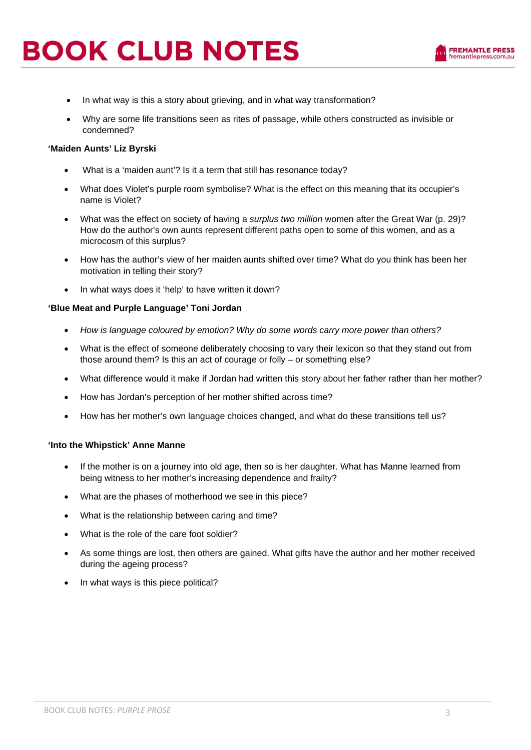- In what way is this a story about grieving, and in what way transformation?
- Why are some life transitions seen as rites of passage, while others constructed as invisible or condemned?

#### **'Maiden Aunts' Liz Byrski**

- What is a 'maiden aunt'? Is it a term that still has resonance today?
- What does Violet's purple room symbolise? What is the effect on this meaning that its occupier's name is Violet?
- What was the effect on society of having a *surplus two million* women after the Great War (p. 29)? How do the author's own aunts represent different paths open to some of this women, and as a microcosm of this surplus?
- How has the author's view of her maiden aunts shifted over time? What do you think has been her motivation in telling their story?
- In what ways does it 'help' to have written it down?

#### **'Blue Meat and Purple Language' Toni Jordan**

- *How is language coloured by emotion? Why do some words carry more power than others?*
- What is the effect of someone deliberately choosing to vary their lexicon so that they stand out from those around them? Is this an act of courage or folly – or something else?
- What difference would it make if Jordan had written this story about her father rather than her mother?
- How has Jordan's perception of her mother shifted across time?
- How has her mother's own language choices changed, and what do these transitions tell us?

#### **'Into the Whipstick' Anne Manne**

- If the mother is on a journey into old age, then so is her daughter. What has Manne learned from being witness to her mother's increasing dependence and frailty?
- What are the phases of motherhood we see in this piece?
- What is the relationship between caring and time?
- What is the role of the care foot soldier?
- As some things are lost, then others are gained. What gifts have the author and her mother received during the ageing process?
- In what ways is this piece political?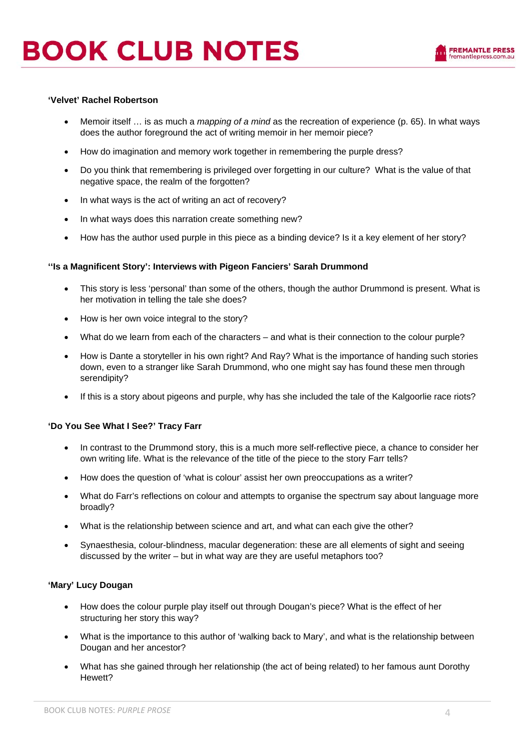#### **'Velvet' Rachel Robertson**

- Memoir itself … is as much a *mapping of a mind* as the recreation of experience (p. 65). In what ways does the author foreground the act of writing memoir in her memoir piece?
- How do imagination and memory work together in remembering the purple dress?
- Do you think that remembering is privileged over forgetting in our culture? What is the value of that negative space, the realm of the forgotten?
- In what ways is the act of writing an act of recovery?
- In what ways does this narration create something new?
- How has the author used purple in this piece as a binding device? Is it a key element of her story?

#### **''Is a Magnificent Story': Interviews with Pigeon Fanciers' Sarah Drummond**

- This story is less 'personal' than some of the others, though the author Drummond is present. What is her motivation in telling the tale she does?
- How is her own voice integral to the story?
- What do we learn from each of the characters and what is their connection to the colour purple?
- How is Dante a storyteller in his own right? And Ray? What is the importance of handing such stories down, even to a stranger like Sarah Drummond, who one might say has found these men through serendipity?
- If this is a story about pigeons and purple, why has she included the tale of the Kalgoorlie race riots?

#### **'Do You See What I See?' Tracy Farr**

- In contrast to the Drummond story, this is a much more self-reflective piece, a chance to consider her own writing life. What is the relevance of the title of the piece to the story Farr tells?
- How does the question of 'what is colour' assist her own preoccupations as a writer?
- What do Farr's reflections on colour and attempts to organise the spectrum say about language more broadly?
- What is the relationship between science and art, and what can each give the other?
- Synaesthesia, colour-blindness, macular degeneration: these are all elements of sight and seeing discussed by the writer – but in what way are they are useful metaphors too?

#### **'Mary' Lucy Dougan**

- How does the colour purple play itself out through Dougan's piece? What is the effect of her structuring her story this way?
- What is the importance to this author of 'walking back to Mary', and what is the relationship between Dougan and her ancestor?
- What has she gained through her relationship (the act of being related) to her famous aunt Dorothy Hewett?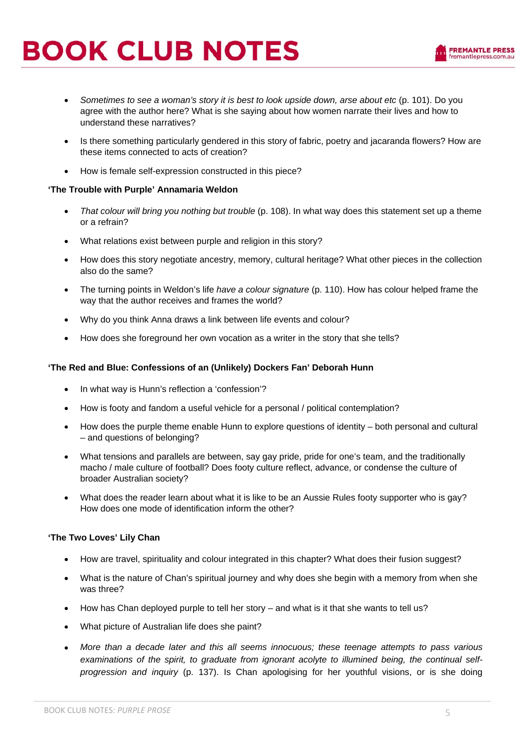- *Sometimes to see a woman's story it is best to look upside down, arse about etc* (p. 101). Do you agree with the author here? What is she saying about how women narrate their lives and how to understand these narratives?
- Is there something particularly gendered in this story of fabric, poetry and jacaranda flowers? How are these items connected to acts of creation?
- How is female self-expression constructed in this piece?

#### **'The Trouble with Purple' Annamaria Weldon**

- *That colour will bring you nothing but trouble* (p. 108). In what way does this statement set up a theme or a refrain?
- What relations exist between purple and religion in this story?
- How does this story negotiate ancestry, memory, cultural heritage? What other pieces in the collection also do the same?
- The turning points in Weldon's life *have a colour signature* (p. 110). How has colour helped frame the way that the author receives and frames the world?
- Why do you think Anna draws a link between life events and colour?
- How does she foreground her own vocation as a writer in the story that she tells?

#### **'The Red and Blue: Confessions of an (Unlikely) Dockers Fan' Deborah Hunn**

- In what way is Hunn's reflection a 'confession'?
- How is footy and fandom a useful vehicle for a personal / political contemplation?
- How does the purple theme enable Hunn to explore questions of identity both personal and cultural – and questions of belonging?
- What tensions and parallels are between, say gay pride, pride for one's team, and the traditionally macho / male culture of football? Does footy culture reflect, advance, or condense the culture of broader Australian society?
- What does the reader learn about what it is like to be an Aussie Rules footy supporter who is gay? How does one mode of identification inform the other?

#### **'The Two Loves' Lily Chan**

- How are travel, spirituality and colour integrated in this chapter? What does their fusion suggest?
- What is the nature of Chan's spiritual journey and why does she begin with a memory from when she was three?
- How has Chan deployed purple to tell her story and what is it that she wants to tell us?
- What picture of Australian life does she paint?
- *More than a decade later and this all seems innocuous; these teenage attempts to pass various*  examinations of the spirit, to graduate from jgnorant acolyte to illumined being, the continual self*progression and inquiry* (p. 137). Is Chan apologising for her youthful visions, or is she doing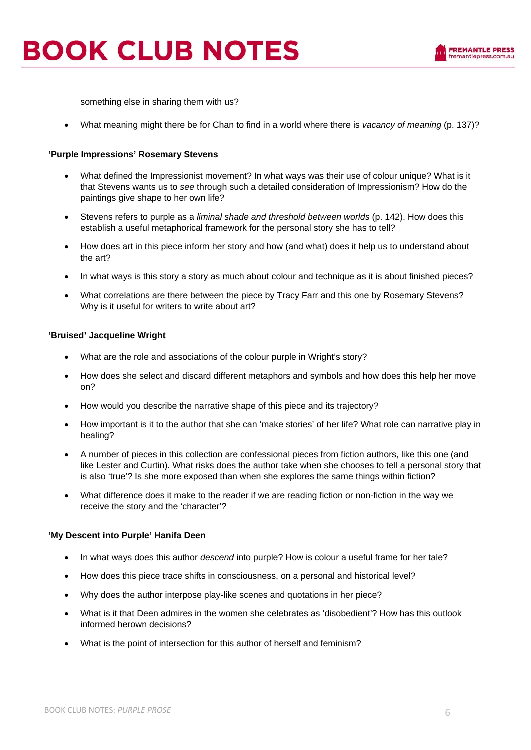something else in sharing them with us?

• What meaning might there be for Chan to find in a world where there is *vacancy of meaning* (p. 137)?

#### **'Purple Impressions' Rosemary Stevens**

- What defined the Impressionist movement? In what ways was their use of colour unique? What is it that Stevens wants us to *see* through such a detailed consideration of Impressionism? How do the paintings give shape to her own life?
- Stevens refers to purple as a *liminal shade and threshold between worlds* (p. 142). How does this establish a useful metaphorical framework for the personal story she has to tell?
- How does art in this piece inform her story and how (and what) does it help us to understand about the art?
- In what ways is this story a story as much about colour and technique as it is about finished pieces?
- What correlations are there between the piece by Tracy Farr and this one by Rosemary Stevens? Why is it useful for writers to write about art?

#### **'Bruised' Jacqueline Wright**

- What are the role and associations of the colour purple in Wright's story?
- How does she select and discard different metaphors and symbols and how does this help her move on?
- How would you describe the narrative shape of this piece and its trajectory?
- How important is it to the author that she can 'make stories' of her life? What role can narrative play in healing?
- A number of pieces in this collection are confessional pieces from fiction authors, like this one (and like Lester and Curtin). What risks does the author take when she chooses to tell a personal story that is also 'true'? Is she more exposed than when she explores the same things within fiction?
- What difference does it make to the reader if we are reading fiction or non-fiction in the way we receive the story and the 'character'?

#### **'My Descent into Purple' Hanifa Deen**

- In what ways does this author *descend* into purple? How is colour a useful frame for her tale?
- How does this piece trace shifts in consciousness, on a personal and historical level?
- Why does the author interpose play-like scenes and quotations in her piece?
- What is it that Deen admires in the women she celebrates as 'disobedient'? How has this outlook informed herown decisions?
- What is the point of intersection for this author of herself and feminism?